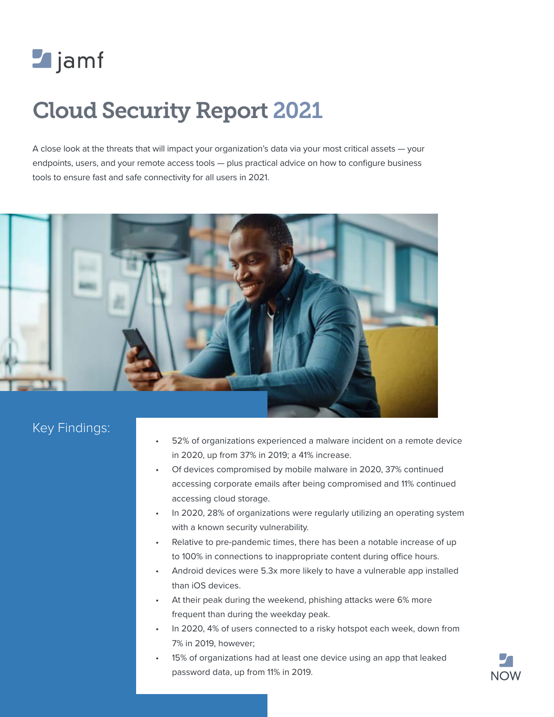

# Cloud Security Report 2021

A close look at the threats that will impact your organization's data via your most critical assets — your endpoints, users, and your remote access tools — plus practical advice on how to configure business tools to ensure fast and safe connectivity for all users in 2021.



# Key Findings:

- 52% of organizations experienced a malware incident on a remote device in 2020, up from 37% in 2019; a 41% increase.
- Of devices compromised by mobile malware in 2020, 37% continued accessing corporate emails after being compromised and 11% continued accessing cloud storage.
- In 2020, 28% of organizations were regularly utilizing an operating system with a known security vulnerability.
- Relative to pre-pandemic times, there has been a notable increase of up to 100% in connections to inappropriate content during office hours.
- Android devices were 5.3x more likely to have a vulnerable app installed than iOS devices.
- At their peak during the weekend, phishing attacks were 6% more frequent than during the weekday peak.
- In 2020, 4% of users connected to a risky hotspot each week, down from 7% in 2019, however;
- 15% of organizations had at least one device using an app that leaked password data, up from 11% in 2019.

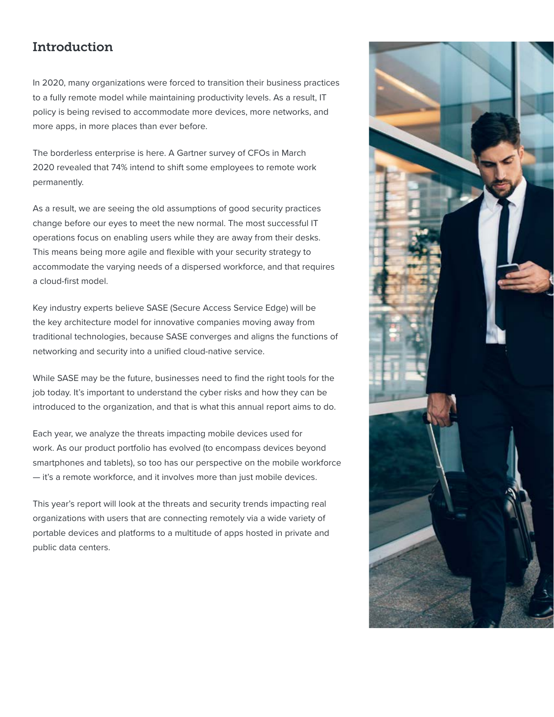# Introduction

In 2020, many organizations were forced to transition their business practices to a fully remote model while maintaining productivity levels. As a result, IT policy is being revised to accommodate more devices, more networks, and more apps, in more places than ever before.

The borderless enterprise is here. A [Gartner survey of CFOs in March](https://www.gartner.com/en/newsroom/press-releases/2020-04-03-gartner-cfo-surey-reveals-74-percent-of-organizations-to-shift-some-employees-to-remote-work-permanently2)  [2020](https://www.gartner.com/en/newsroom/press-releases/2020-04-03-gartner-cfo-surey-reveals-74-percent-of-organizations-to-shift-some-employees-to-remote-work-permanently2) revealed that 74% intend to shift some employees to remote work permanently.

As a result, we are seeing the old assumptions of good security practices change before our eyes to meet the new normal. The most successful IT operations focus on enabling users while they are away from their desks. This means being more agile and flexible with your security strategy to accommodate the varying needs of a dispersed workforce, and that requires a cloud-first model.

Key industry experts believe SASE (Secure Access Service Edge) will be the key architecture model for innovative companies moving away from traditional technologies, because SASE converges and aligns the functions of networking and security into a unified cloud-native service.

While SASE may be the future, businesses need to find the right tools for the job today. It's important to understand the cyber risks and how they can be introduced to the organization, and that is what this annual report aims to do.

Each year, we analyze the threats impacting mobile devices used for work. As our product portfolio has evolved (to encompass devices beyond smartphones and tablets), so too has our perspective on the mobile workforce — it's a remote workforce, and it involves more than just mobile devices.

This year's report will look at the threats and security trends impacting real organizations with users that are connecting remotely via a wide variety of portable devices and platforms to a multitude of apps hosted in private and public data centers.

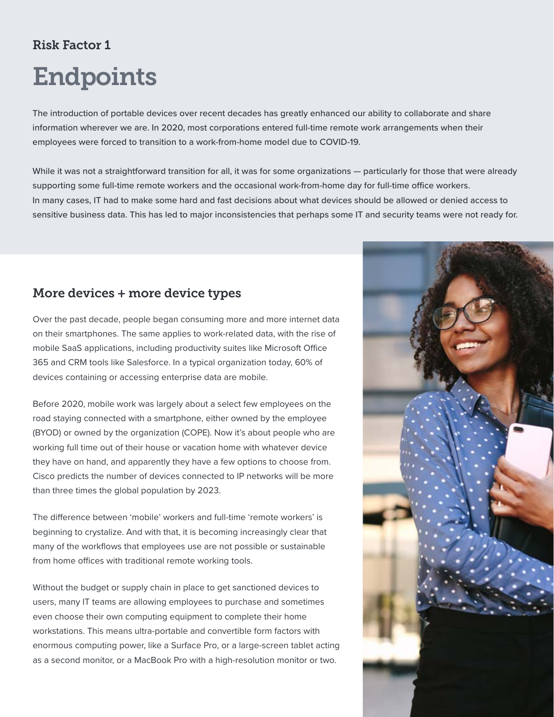# Risk Factor 1

# Endpoints

The introduction of portable devices over recent decades has greatly enhanced our ability to collaborate and share information wherever we are. In 2020, most corporations entered full-time remote work arrangements when their employees were forced to transition to a work-from-home model due to COVID-19.

While it was not a straightforward transition for all, it was for some organizations — particularly for those that were already supporting some full-time remote workers and the occasional work-from-home day for full-time office workers. In many cases, IT had to make some hard and fast decisions about what devices should be allowed or denied access to sensitive business data. This has led to major inconsistencies that perhaps some IT and security teams were not ready for.

## More devices + more device types

Over the past decade, people began consuming more and more internet data on their smartphones. The same applies to work-related data, with the rise of mobile SaaS applications, including productivity suites like Microsoft Office 365 and CRM tools like Salesforce. [In a typical organization today, 60% of](https://www.rsaconference.com/industry-topics/blog/the-battle-to-address-mobile-threats-in-the-endpoint-security-space)  [devices containing or accessing enterprise data are mobile.](https://www.rsaconference.com/industry-topics/blog/the-battle-to-address-mobile-threats-in-the-endpoint-security-space)

Before 2020, mobile work was largely about a select few employees on the road staying connected with a smartphone, either owned by the employee (BYOD) or owned by the organization (COPE). Now it's about people who are working full time out of their house or vacation home with whatever device they have on hand, and apparently they have a few options to choose from. [Cisco predicts](https://www.cisco.com/c/en/us/solutions/collateral/executive-perspectives/annual-internet-report/white-paper-c11-741490.html) the number of devices connected to IP networks will be more than three times the global population by 2023.

The difference between 'mobile' workers and full-time 'remote workers' is beginning to crystalize. And with that, it is becoming increasingly clear that many of the workflows that employees use are not possible or sustainable from home offices with traditional remote working tools.

Without the budget or supply chain in place to get sanctioned devices to users, many IT teams are allowing employees to purchase and sometimes even choose their own computing equipment to complete their home workstations. This means ultra-portable and convertible form factors with enormous computing power, like a Surface Pro, or a large-screen tablet acting as a second monitor, or a MacBook Pro with a high-resolution monitor or two.

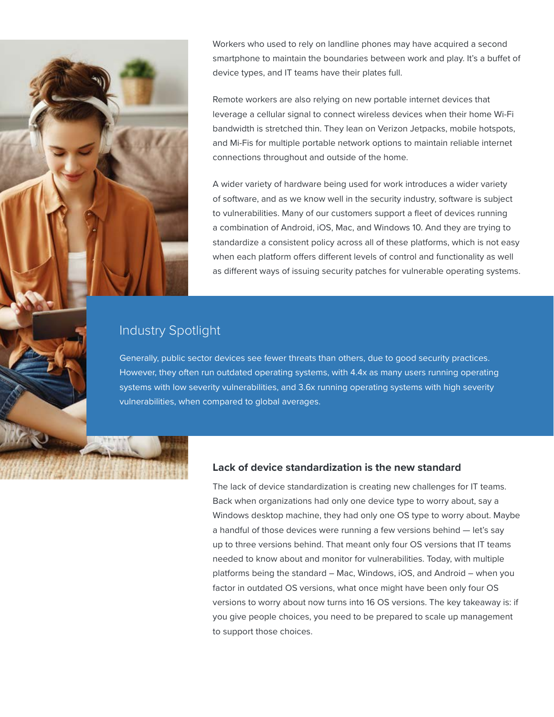Workers who used to rely on landline phones may have acquired a second smartphone to maintain the boundaries between work and play. It's a buffet of device types, and IT teams have their plates full.

Remote workers are also relying on new portable internet devices that leverage a cellular signal to connect wireless devices when their home Wi-Fi bandwidth is stretched thin. They lean on Verizon Jetpacks, mobile hotspots, and Mi-Fis for multiple portable network options to maintain reliable internet connections throughout and outside of the home.

A wider variety of hardware being used for work introduces a wider variety of software, and as we know well in the security industry, software is subject to vulnerabilities. Many of our customers support a fleet of devices running a combination of Android, iOS, Mac, and Windows 10. And they are trying to standardize a consistent policy across all of these platforms, which is not easy when each platform offers different levels of control and functionality as well as different ways of issuing security patches for vulnerable operating systems.

## Industry Spotlight

Generally, public sector devices see fewer threats than others, due to good security practices. However, they often run outdated operating systems, with 4.4x as many users running operating systems with low severity vulnerabilities, and 3.6x running operating systems with high severity vulnerabilities, when compared to global averages.

### **Lack of device standardization is the new standard**

The lack of device standardization is creating new challenges for IT teams. Back when organizations had only one device type to worry about, say a Windows desktop machine, they had only one OS type to worry about. Maybe a handful of those devices were running a few versions behind — let's say up to three versions behind. That meant only four OS versions that IT teams needed to know about and monitor for vulnerabilities. Today, with multiple platforms being the standard – Mac, Windows, iOS, and Android – when you factor in outdated OS versions, what once might have been only four OS versions to worry about now turns into 16 OS versions. The key takeaway is: if you give people choices, you need to be prepared to scale up management to support those choices.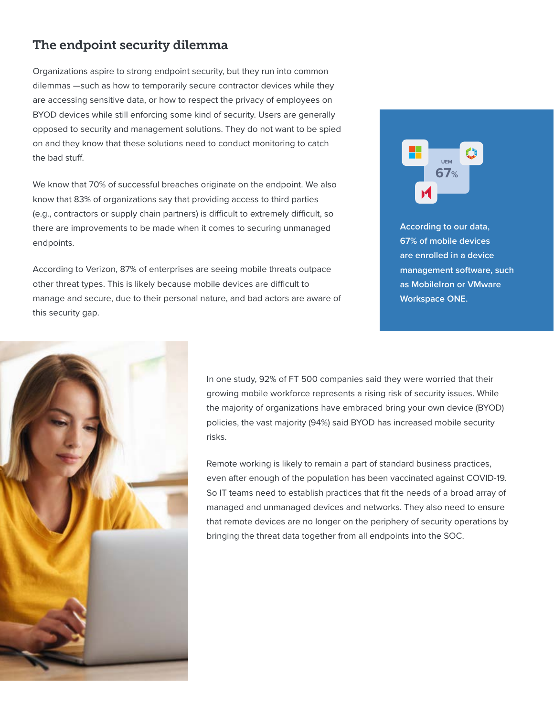# The endpoint security dilemma

Organizations aspire to strong endpoint security, but they run into common dilemmas —such as how to temporarily secure contractor devices while they are accessing sensitive data, or how to respect the privacy of employees on BYOD devices while still enforcing some kind of security. Users are generally opposed to security and management solutions. They do not want to be spied on and they know that these solutions need to conduct monitoring to catch the bad stuff.

We know that [70% of successful breaches](https://www.rapid7.com/resources/rapid7-efficient-incident-detection-investigation-saves-money/) originate on the endpoint. We also know that [83% of organizations](https://www.techrepublic.com/resource-library/whitepapers/idc-report-remote-access-and-security-challenges-opportunities/) say that providing access to third parties (e.g., contractors or supply chain partners) is difficult to extremely difficult, so there are improvements to be made when it comes to securing unmanaged endpoints.

According to Verizon, 87% of enterprises are seeing mobile threats outpace other threat types. This is likely because mobile devices are difficult to manage and secure, due to their personal nature, and bad actors are aware of this security gap.



**According to our data, 67% of mobile devices are enrolled in a device management software, such as MobileIron or VMware Workspace ONE.**



In one study, [92% of FT 500 companies](https://www.immuniweb.com/blog/FT500-application-security.html) said they were worried that their growing mobile workforce represents a rising risk of security issues. While the majority of organizations have embraced bring your own device (BYOD) policies, the vast majority (94%) said BYOD has increased mobile security risks.

Remote working is likely to remain a part of standard business practices, even after enough of the population has been vaccinated against COVID-19. So IT teams need to establish practices that fit the needs of a broad array of managed and unmanaged devices and networks. They also need to ensure that remote devices are no longer on the periphery of security operations by bringing the threat data together from all endpoints into the SOC.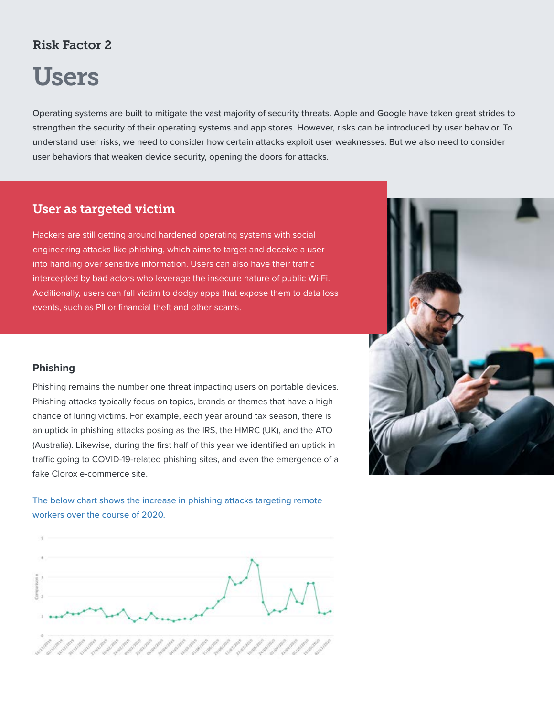# Risk Factor 2

# Users

Operating systems are built to mitigate the vast majority of security threats. Apple and Google have taken great strides to strengthen the security of their operating systems and app stores. However, risks can be introduced by user behavior. To understand user risks, we need to consider how certain attacks exploit user weaknesses. But we also need to consider user behaviors that weaken device security, opening the doors for attacks.

## User as targeted victim

Hackers are still getting around hardened operating systems with social engineering attacks like phishing, which aims to target and deceive a user into handing over sensitive information. Users can also have their traffic intercepted by bad actors who leverage the insecure nature of public Wi-Fi. Additionally, users can fall victim to dodgy apps that expose them to data loss events, such as PII or financial theft and other scams.

## **Phishing**

Phishing remains the number one threat impacting users on portable devices. Phishing attacks typically focus on topics, brands or themes that have a high chance of luring victims. For example, each year around tax season, there is an uptick in phishing attacks posing as the IRS, the HMRC (UK), and the ATO (Australia). Likewise, during the first half of this year we identified an uptick in traffic going to COVID-19-related phishing sites, and even the emergence of a fake Clorox e-commerce site.

The below chart shows the increase in phishing attacks targeting remote workers over the course of 2020.



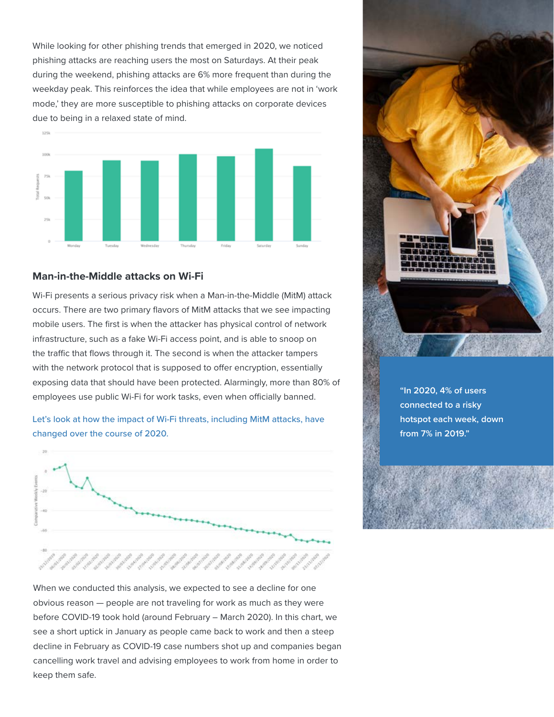While looking for other phishing trends that emerged in 2020, we noticed phishing attacks are reaching users the most on Saturdays. At their peak during the weekend, phishing attacks are 6% more frequent than during the weekday peak. This reinforces the idea that while employees are not in 'work mode,' they are more susceptible to phishing attacks on corporate devices due to being in a relaxed state of mind.



### **Man-in-the-Middle attacks on Wi-Fi**

Wi-Fi presents a serious privacy risk when a Man-in-the-Middle (MitM) attack occurs. There are two primary flavors of MitM attacks that we see impacting mobile users. The first is when the attacker has physical control of network infrastructure, such as a fake Wi-Fi access point, and is able to snoop on the traffic that flows through it. The second is when the attacker tampers with the network protocol that is supposed to offer encryption, essentially exposing data that should have been protected. Alarmingly, [more than 80% of](https://www.rsaconference.com/industry-topics/blog/the-battle-to-address-mobile-threats-in-the-endpoint-security-space)  [employees](https://www.rsaconference.com/industry-topics/blog/the-battle-to-address-mobile-threats-in-the-endpoint-security-space) use public Wi-Fi for work tasks, even when officially banned.

### Let's look at how the impact of Wi-Fi threats, including MitM attacks, have changed over the course of 2020.



When we conducted this analysis, we expected to see a decline for one obvious reason — people are not traveling for work as much as they were before COVID-19 took hold (around February – March 2020). In this chart, we see a short uptick in January as people came back to work and then a steep decline in February as COVID-19 case numbers shot up and companies began cancelling work travel and advising employees to work from home in order to keep them safe.



**"In 2020, 4% of users connected to a risky hotspot each week, down from 7% in 2019."**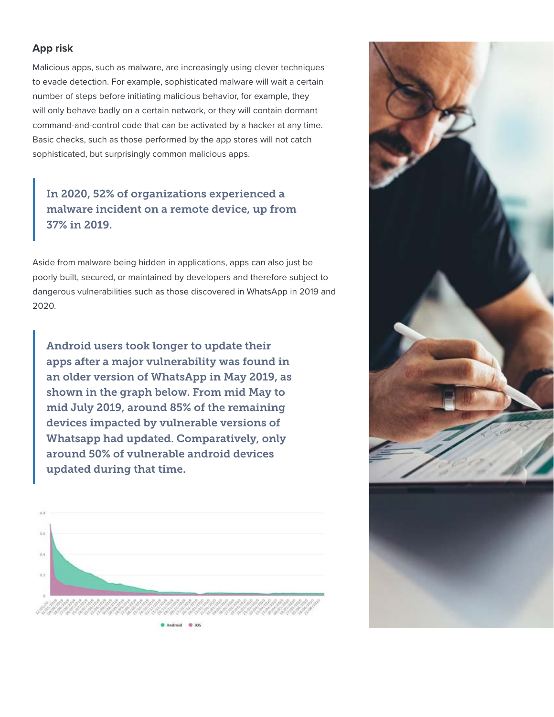## **App risk**

Malicious apps, such as malware, are increasingly using clever techniques to evade detection. For example, sophisticated malware will wait a certain number of steps before initiating malicious behavior, for example, they will only behave badly on a certain network, or they will contain dormant command-and-control code that can be activated by a hacker at any time. Basic checks, such as those performed by the app stores will not catch sophisticated, but surprisingly common malicious apps.

# In 2020, 52% of organizations experienced a malware incident on a remote device, up from 37% in 2019.

Aside from malware being hidden in applications, apps can also just be poorly built, secured, or maintained by developers and therefore subject to dangerous vulnerabilities such as those discovered in WhatsApp in 2019 and 2020.

Android users took longer to update their apps after a major vulnerability was found in an older version of WhatsApp in May 2019, as shown in the graph below. From mid May to mid July 2019, around 85% of the remaining devices impacted by vulnerable versions of Whatsapp had updated. Comparatively, only around 50% of vulnerable android devices updated during that time.



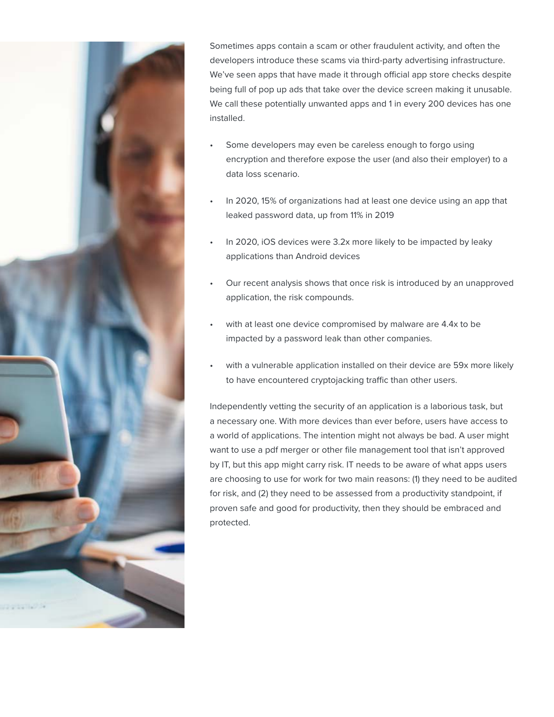

Sometimes apps contain a scam or other fraudulent activity, and often the developers introduce these scams via [third-party advertising infrastructure](https://www.wandera.com/ad-networks/). We've seen apps that have made it through official app store checks despite being full of pop up ads that take over the device screen making it unusable. We call these potentially unwanted apps and 1 in every 200 devices has one installed.

- Some developers may even be careless enough to forgo using encryption and therefore expose the user (and also their employer) to a data loss scenario.
- In 2020, 15% of organizations had at least one device using an app that leaked password data, up from 11% in 2019
- In 2020, iOS devices were 3.2x more likely to be impacted by leaky applications than Android devices
- Our recent analysis shows that once risk is introduced by an unapproved application, the risk compounds.
- with at least one device compromised by malware are 4.4x to be impacted by a password leak than other companies.
- with a vulnerable application installed on their device are 59x more likely to have encountered cryptojacking traffic than other users.

Independently vetting the security of an application is a laborious task, but a necessary one. With more devices than ever before, users have access to a world of applications. The intention might not always be bad. A user might want to use a pdf merger or other file management tool that isn't approved by IT, [but this app might carry risk](https://www.wandera.com/shadow-it-comet-docs/). IT needs to be aware of what apps users are choosing to use for work for two main reasons: (1) they need to be audited for risk, and (2) they need to be assessed from a productivity standpoint, if proven safe and good for productivity, then they should be embraced and protected.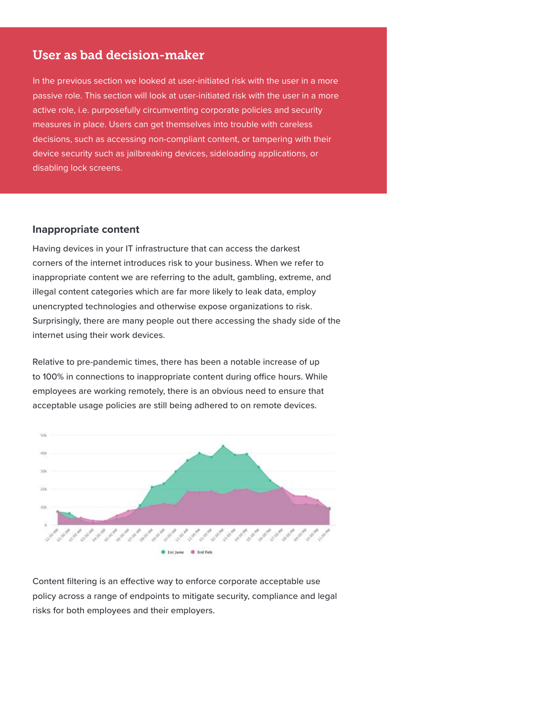## User as bad decision-maker

In the previous section we looked at user-initiated risk with the user in a more passive role. This section will look at user-initiated risk with the user in a more active role, i.e. purposefully circumventing corporate policies and security measures in place. Users can get themselves into trouble with careless decisions, such as accessing non-compliant content, or tampering with their device security such as jailbreaking devices, sideloading applications, or disabling lock screens.

#### **Inappropriate content**

Having devices in your IT infrastructure that can access the darkest corners of the internet introduces risk to your business. When we refer to inappropriate content we are referring to the adult, gambling, extreme, and illegal content categories which are [far more likely to leak data,](https://www.wandera.com/inappropriate-mobile-activity/) employ unencrypted technologies and otherwise expose organizations to risk. Surprisingly, there are many people out there accessing the shady side of the internet using their work devices.

Relative to pre-pandemic times, there has been a notable increase of up to 100% in connections to inappropriate content during office hours. While employees are working remotely, there is an obvious need to ensure that acceptable usage policies are still being adhered to on remote devices.



Content filtering is an effective way to enforce corporate acceptable use policy across a range of endpoints to mitigate security, compliance and legal risks for both employees and their employers.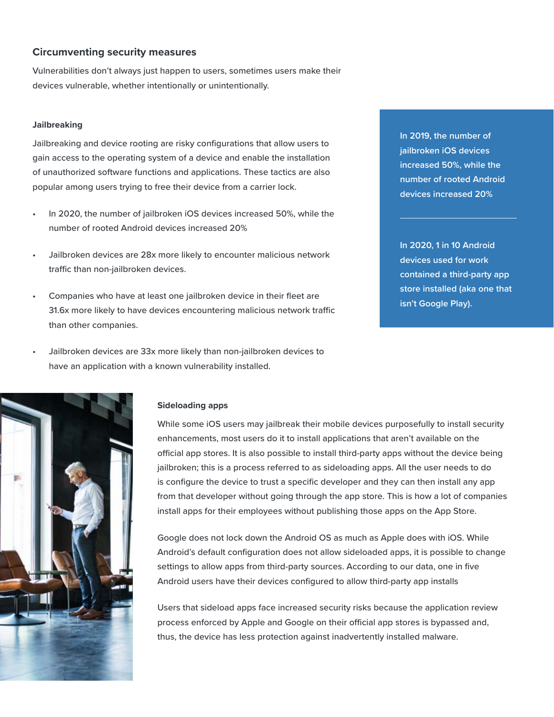#### **Circumventing security measures**

Vulnerabilities don't always just happen to users, sometimes users make their devices vulnerable, whether intentionally or unintentionally.

#### **Jailbreaking**

Jailbreaking and device rooting are risky configurations that allow users to gain access to the operating system of a device and enable the installation of unauthorized software functions and applications. These tactics are also popular among users trying to free their device from a carrier lock.

- In 2020, the number of jailbroken iOS devices increased 50%, while the number of rooted Android devices increased 20%
- Jailbroken devices are 28x more likely to encounter malicious network traffic than non-jailbroken devices.
- Companies who have at least one jailbroken device in their fleet are 31.6x more likely to have devices encountering malicious network traffic than other companies.
	- Jailbroken devices are 33x more likely than non-jailbroken devices to have an application with a known vulnerability installed.

**In 2019, the number of jailbroken iOS devices increased 50%, while the number of rooted Android devices increased 20%**

**In 2020, 1 in 10 Android devices used for work contained a third-party app store installed (aka one that isn't Google Play).**



#### **Sideloading apps**

While some iOS users may jailbreak their mobile devices purposefully to install security enhancements, most users do it to install applications that aren't available on the official app stores. It is also possible to install third-party apps without the device being jailbroken; this is a process referred to as sideloading apps. All the user needs to do is configure the device to trust a specific developer and they can then install any app from that developer without going through the app store. This is how a lot of companies install apps for their employees without publishing those apps on the App Store.

Google does not lock down the Android OS as much as Apple does with iOS. While Android's default configuration does not allow sideloaded apps, it is possible to change settings to allow apps from third-party sources. According to our data, one in five Android users have their devices configured to allow third-party app installs

Users that sideload apps face increased security risks because the application review process enforced by Apple and Google on their official app stores is bypassed and, thus, the device has less protection against inadvertently installed malware.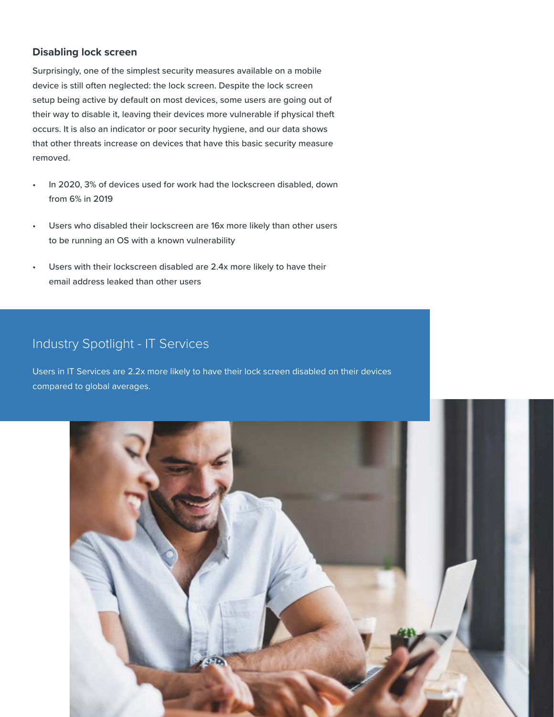### **Disabling lock screen**

Surprisingly, one of the simplest security measures available on a mobile device is still often neglected: the lock screen. Despite the lock screen setup being active by default on most devices, some users are going out of their way to disable it, leaving their devices more vulnerable if physical theft occurs. It is also an indicator or poor security hygiene, and our data shows that other threats increase on devices that have this basic security measure removed.

- In 2020, 3% of devices used for work had the lockscreen disabled, down from 6% in 2019
- Users who disabled their lockscreen are 16x more likely than other users to be running an OS with a known vulnerability
- Users with their lockscreen disabled are 2.4x more likely to have their email address leaked than other users

# Industry Spotlight - IT Services

Users in IT Services are 2.2x more likely to have their lock screen disabled on their devices compared to global averages.

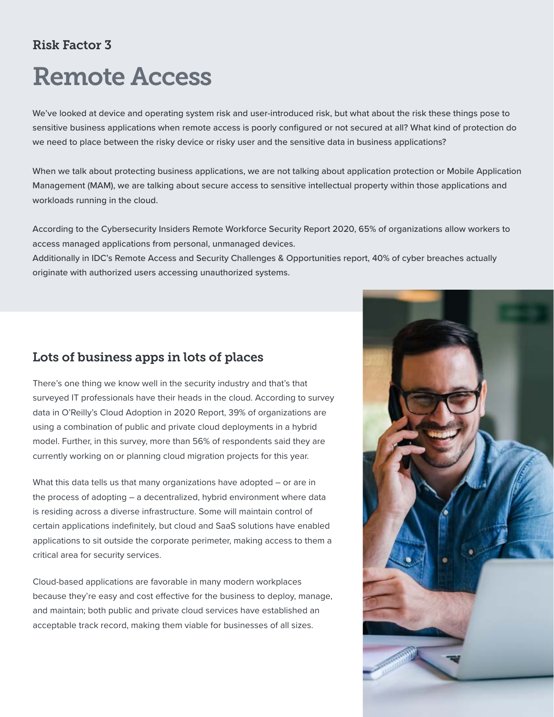# Risk Factor 3

# Remote Access

We've looked at device and operating system risk and user-introduced risk, but what about the risk these things pose to sensitive business applications when remote access is poorly configured or not secured at all? What kind of protection do we need to place between the risky device or risky user and the sensitive data in business applications?

When we talk about protecting business applications, we are not talking about application protection or Mobile Application Management (MAM), we are talking about secure access to sensitive intellectual property within those applications and workloads running in the cloud.

According to the [Cybersecurity Insiders Remote Workforce Security Report 2020,](https://www.cybersecurity-insiders.com/portfolio/2020-remote-workforce-security-report-authentic8/) 65% of organizations allow workers to access managed applications from personal, unmanaged devices.

Additionally in [IDC's Remote Access and Security Challenges & Opportunities report,](https://www.techrepublic.com/resource-library/whitepapers/idc-report-remote-access-and-security-challenges-opportunities/) 40% of cyber breaches actually originate with authorized users accessing unauthorized systems.

# Lots of business apps in lots of places

There's one thing we know well in the security industry and that's that surveyed IT professionals have their heads in the cloud. According to survey data in [O'Reilly's Cloud Adoption in 2020 Report,](https://uktechnews.co.uk/2020/05/26/oreilly-survey-reveals-more-than-88-of-organisations-now-use-cloud-computing/) 39% of organizations are using a combination of public and private cloud deployments in a hybrid model. Further, [in this survey,](https://www.techrepublic.com/article/year-of-modernization-56-of-professionals-are-working-on-cloud-migrations-for-2020/) more than 56% of respondents said they are currently working on or planning cloud migration projects for this year.

What this data tells us that many organizations have adopted – or are in the process of adopting – a decentralized, hybrid environment where data is residing across a diverse infrastructure. Some will maintain control of certain applications indefinitely, but cloud and SaaS solutions have enabled applications to sit outside the corporate perimeter, making access to them a critical area for security services.

Cloud-based applications are favorable in many modern workplaces because they're easy and cost effective for the business to deploy, manage, and maintain; both public and private cloud services have established an acceptable track record, making them viable for businesses of all sizes.

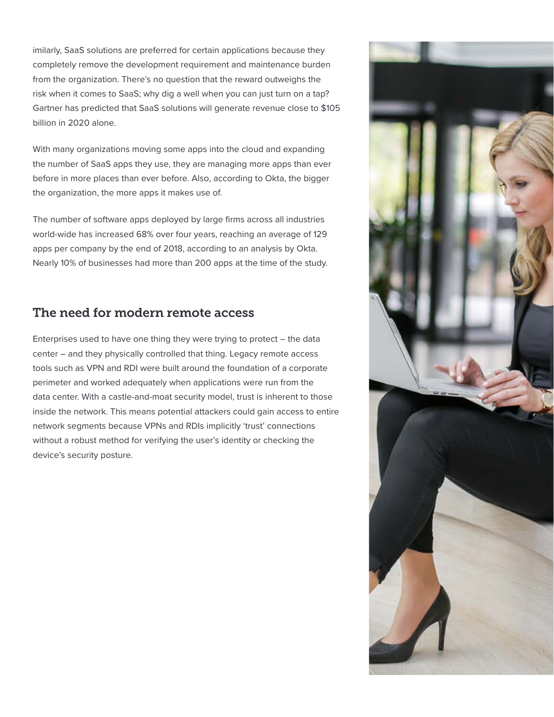imilarly, SaaS solutions are preferred for certain applications because they completely remove the development requirement and maintenance burden from the organization. There's no question that the reward outweighs the risk when it comes to SaaS; why dig a well when you can just turn on a tap? Gartner has predicted that SaaS solutions will generate revenue close to \$105 billion in 2020 alone.

With many organizations moving some apps into the cloud and expanding the number of SaaS apps they use, they are managing more apps than ever before in more places than ever before. Also, according to Okta, the bigger the organization, the more apps it makes use of.

The number of software apps deployed by large firms across all industries world-wide has increased 68% over four years, reaching an average of 129 apps per company by the end of 2018, according to an [analysis by Okta.](https://www.okta.com/businesses-at-work/2019#:~:text=The%20longer%20a%20company%20has,115%25%20growth%20over%20two%20years.) Nearly 10% of businesses had more than 200 apps at the time of the study.

## The need for modern remote access

Enterprises used to have one thing they were trying to protect – the data center – and they physically controlled that thing. Legacy remote access tools such as VPN and RDI were built around the foundation of a corporate perimeter and worked adequately when applications were run from the data center. With a castle-and-moat security model, trust is inherent to those inside the network. This means potential attackers could gain access to entire network segments because VPNs and RDIs implicitly 'trust' connections without a robust method for verifying the user's identity or checking the device's security posture.

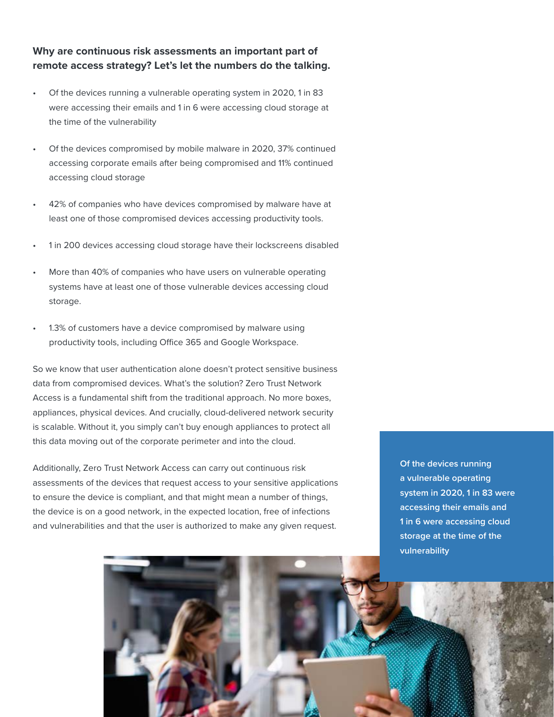## **Why are continuous risk assessments an important part of remote access strategy? Let's let the numbers do the talking.**

- Of the devices running a vulnerable operating system in 2020, 1 in 83 were accessing their emails and 1 in 6 were accessing cloud storage at the time of the vulnerability
- Of the devices compromised by mobile malware in 2020, 37% continued accessing corporate emails after being compromised and 11% continued accessing cloud storage
- 42% of companies who have devices compromised by malware have at least one of those compromised devices accessing productivity tools.
- 1 in 200 devices accessing cloud storage have their lockscreens disabled
- More than 40% of companies who have users on vulnerable operating systems have at least one of those vulnerable devices accessing cloud storage.
- 1.3% of customers have a device compromised by malware using productivity tools, including Office 365 and Google Workspace.

So we know that user authentication alone doesn't protect sensitive business data from compromised devices. What's the solution? Zero Trust Network Access is a fundamental shift from the traditional approach. No more boxes, appliances, physical devices. And crucially, cloud-delivered network security is scalable. Without it, you simply can't buy enough appliances to protect all this data moving out of the corporate perimeter and into the cloud.

Additionally, Zero Trust Network Access can carry out continuous risk assessments of the devices that request access to your sensitive applications to ensure the device is compliant, and that might mean a number of things, the device is on a good network, in the expected location, free of infections and vulnerabilities and that the user is authorized to make any given request.

**Of the devices running a vulnerable operating system in 2020, 1 in 83 were accessing their emails and 1 in 6 were accessing cloud storage at the time of the vulnerability**

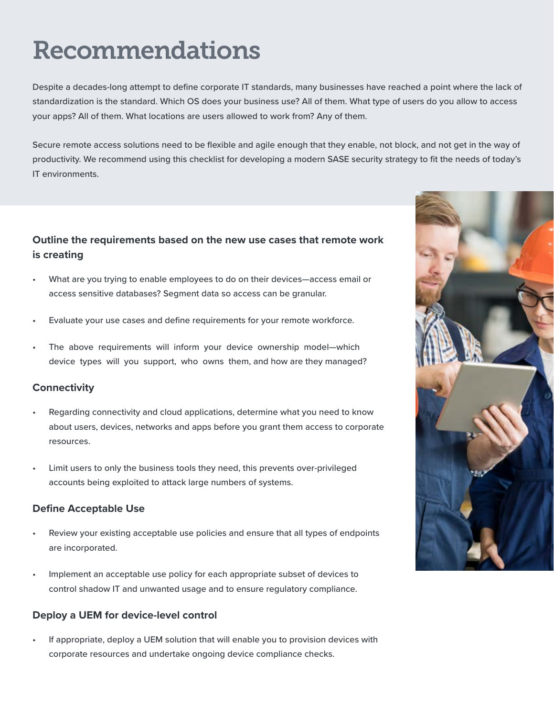# Recommendations

Despite a decades-long attempt to define corporate IT standards, many businesses have reached a point where the lack of standardization is the standard. Which OS does your business use? All of them. What type of users do you allow to access your apps? All of them. What locations are users allowed to work from? Any of them.

Secure remote access solutions need to be flexible and agile enough that they enable, not block, and not get in the way of productivity. We recommend using this checklist for developing a modern SASE security strategy to fit the needs of today's IT environments.

## **Outline the requirements based on the new use cases that remote work is creating**

- What are you trying to enable employees to do on their devices—access email or access sensitive databases? Segment data so access can be granular.
- Evaluate your use cases and define requirements for your remote workforce.
- The above requirements will inform your device ownership model-which device types will you support, who owns them, and how are they managed?

### **Connectivity**

- Regarding connectivity and cloud applications, determine what you need to know about users, devices, networks and apps before you grant them access to corporate resources.
- Limit users to only the business tools they need, this prevents over-privileged accounts being exploited to attack large numbers of systems.

## **Define Acceptable Use**

- Review your existing acceptable use policies and ensure that all types of endpoints are incorporated.
- Implement an acceptable use policy for each appropriate subset of devices to control shadow IT and unwanted usage and to ensure regulatory compliance.

## **Deploy a UEM for device-level control**

• If appropriate, deploy a UEM solution that will enable you to provision devices with corporate resources and undertake ongoing device compliance checks.